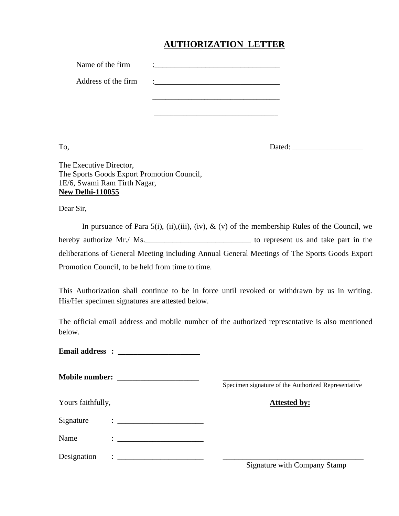## **AUTHORIZATION LETTER**

| Name of the firm    | ٠                          |
|---------------------|----------------------------|
| Address of the firm | $\mathcal{L}^{\text{max}}$ |
|                     |                            |
|                     |                            |

To, Dated: \_\_\_\_\_\_\_\_\_\_\_\_\_\_\_\_\_\_

The Executive Director, The Sports Goods Export Promotion Council, 1E/6, Swami Ram Tirth Nagar, **New Delhi-110055**

Dear Sir,

In pursuance of Para 5(i), (ii), (iii), (iv),  $\&$  (v) of the membership Rules of the Council, we hereby authorize Mr./ Ms. deliberations of General Meeting including Annual General Meetings of The Sports Goods Export Promotion Council, to be held from time to time.

This Authorization shall continue to be in force until revoked or withdrawn by us in writing. His/Her specimen signatures are attested below.

The official email address and mobile number of the authorized representative is also mentioned below.

**Email address : \_\_\_\_\_\_\_\_\_\_\_\_\_\_\_\_\_\_\_\_\_**

**Mobile number: \_\_\_\_\_\_\_\_\_\_\_\_\_\_\_\_\_\_\_\_\_ \_\_\_\_\_\_\_\_\_\_\_\_\_\_\_\_\_\_\_\_\_\_\_\_\_\_\_\_\_\_\_\_\_\_\_**

Specimen signature of the Authorized Representative

## Yours faithfully, **Attested by:**

Signature : \_\_\_\_\_\_\_\_\_\_\_\_\_\_\_\_\_\_\_\_\_\_

Name :

Designation :  $\frac{1}{\sqrt{1-\frac{1}{2}}}\cdot\frac{1}{\sqrt{1-\frac{1}{2}}}\cdot\frac{1}{\sqrt{1-\frac{1}{2}}}\cdot\frac{1}{\sqrt{1-\frac{1}{2}}}\cdot\frac{1}{\sqrt{1-\frac{1}{2}}}\cdot\frac{1}{\sqrt{1-\frac{1}{2}}}\cdot\frac{1}{\sqrt{1-\frac{1}{2}}}\cdot\frac{1}{\sqrt{1-\frac{1}{2}}}\cdot\frac{1}{\sqrt{1-\frac{1}{2}}}\cdot\frac{1}{\sqrt{1-\frac{1}{2}}}\cdot\frac{1}{\sqrt{1-\frac{1}{2}}}\cdot\frac{1}{\sqrt{$ 

Signature with Company Stamp